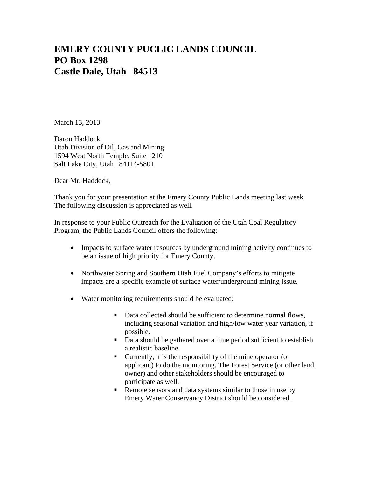## **EMERY COUNTY PUCLIC LANDS COUNCIL PO Box 1298 Castle Dale, Utah 84513**

March 13, 2013

Daron Haddock Utah Division of Oil, Gas and Mining 1594 West North Temple, Suite 1210 Salt Lake City, Utah 84114-5801

Dear Mr. Haddock,

Thank you for your presentation at the Emery County Public Lands meeting last week. The following discussion is appreciated as well.

In response to your Public Outreach for the Evaluation of the Utah Coal Regulatory Program, the Public Lands Council offers the following:

- Impacts to surface water resources by underground mining activity continues to be an issue of high priority for Emery County.
- Northwater Spring and Southern Utah Fuel Company's efforts to mitigate impacts are a specific example of surface water/underground mining issue.
- Water monitoring requirements should be evaluated:
	- Data collected should be sufficient to determine normal flows, including seasonal variation and high/low water year variation, if possible.
	- Data should be gathered over a time period sufficient to establish a realistic baseline.
	- Currently, it is the responsibility of the mine operator (or applicant) to do the monitoring. The Forest Service (or other land owner) and other stakeholders should be encouraged to participate as well.
	- Remote sensors and data systems similar to those in use by Emery Water Conservancy District should be considered.